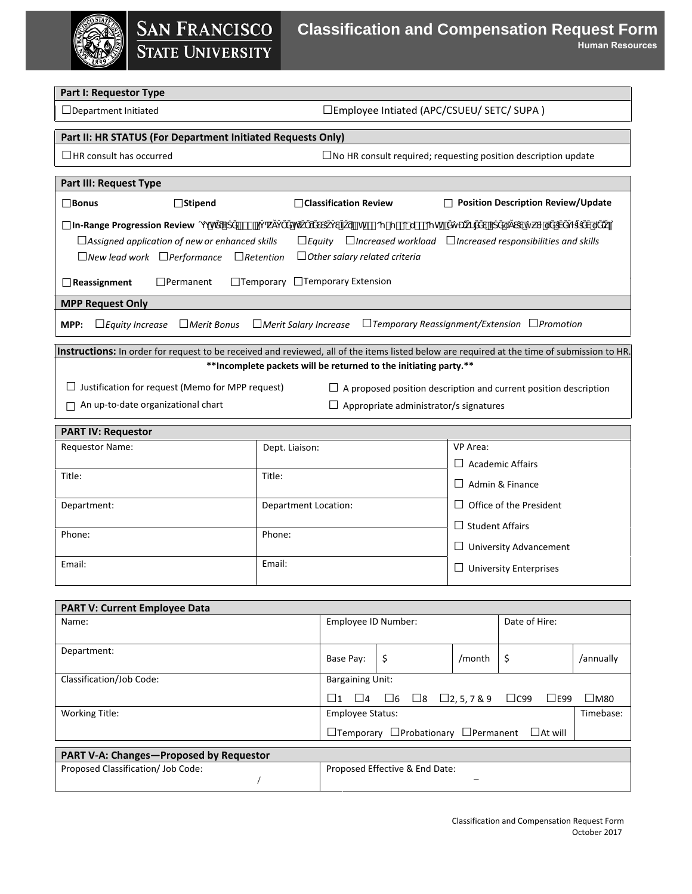# **SAN FRANCISCO**<br>STATE UNIVERSITY

## **Classification and Compensation Request Form**

**Human Resources**

### **Part I: Requestor Type**

□Department Initiated □Employee Intiated (APC/CSUEU/ SETC/ SUPA )

|  | Part II: HR STATUS (For Department Initiated Requests Only) |  |
|--|-------------------------------------------------------------|--|
|  |                                                             |  |

□HR consult has occurred □No HR consult required; requesting position description update

| <b>Part III: Request Type</b>                                                                                                                 |                                                                                                                                            |                                           |  |  |  |  |
|-----------------------------------------------------------------------------------------------------------------------------------------------|--------------------------------------------------------------------------------------------------------------------------------------------|-------------------------------------------|--|--|--|--|
| $\Box$ Bonus<br>$\Box$ Stipend                                                                                                                | $\Box$ Classification Review                                                                                                               | <b>Position Description Review/Update</b> |  |  |  |  |
| and the company's company's company's com-<br><b>In-Range Progression Review</b> $h \neq^m e$ <i>k</i><br>i "h# #oγ-γ o-u# oγh"<br>'n         |                                                                                                                                            |                                           |  |  |  |  |
|                                                                                                                                               | $\Box$ Increased workload $\Box$ Increased responsibilities and skills<br>□Assigned application of new or enhanced skills<br>$\Box$ Equity |                                           |  |  |  |  |
| $\Box$ New lead work $\Box$ Performance $\Box$ Retention                                                                                      | $\Box$ Other salary related criteria                                                                                                       |                                           |  |  |  |  |
|                                                                                                                                               |                                                                                                                                            |                                           |  |  |  |  |
| $\Box$ Permanent<br>$\Box$ Reassignment                                                                                                       | $\Box$ Temporary $\Box$ Temporary Extension                                                                                                |                                           |  |  |  |  |
| <b>MPP Request Only</b>                                                                                                                       |                                                                                                                                            |                                           |  |  |  |  |
| $\Box$ Temporary Reassignment/Extension $\Box$ Promotion<br>$\Box$ Equity Increase $\Box$ Merit Bonus<br>$\Box$ Merit Salary Increase<br>MPP: |                                                                                                                                            |                                           |  |  |  |  |
| Instructions: In order for request to be received and reviewed, all of the items listed below are required at the time of submission to HR.   |                                                                                                                                            |                                           |  |  |  |  |
| **Incomplete packets will be returned to the initiating party.**                                                                              |                                                                                                                                            |                                           |  |  |  |  |
| Justification for request (Memo for MPP request)<br>$\Box$ A proposed position description and current position description                   |                                                                                                                                            |                                           |  |  |  |  |
| An up-to-date organizational chart<br>Appropriate administrator/s signatures                                                                  |                                                                                                                                            |                                           |  |  |  |  |
| <b>PART IV: Requestor</b>                                                                                                                     |                                                                                                                                            |                                           |  |  |  |  |
| <b>Requestor Name:</b><br>VP Area:                                                                                                            |                                                                                                                                            |                                           |  |  |  |  |
|                                                                                                                                               | Dept. Liaison:                                                                                                                             |                                           |  |  |  |  |
|                                                                                                                                               |                                                                                                                                            | $\Box$ Academic Affairs                   |  |  |  |  |

|                             | <b>Academic Affairs</b><br>$\perp$ |
|-----------------------------|------------------------------------|
| Title:                      | $\Box$ Admin & Finance             |
| <b>Department Location:</b> | $\Box$ Office of the President     |
|                             | $\Box$ Student Affairs             |
| Phone:                      | $\Box$ University Advancement      |
| Email:                      | $\Box$ University Enterprises      |
|                             |                                    |

| <b>PART V: Current Employee Data</b>                                 |                         |                                           |               |                       |               |
|----------------------------------------------------------------------|-------------------------|-------------------------------------------|---------------|-----------------------|---------------|
| Name:                                                                | Employee ID Number:     |                                           | Date of Hire: |                       |               |
|                                                                      |                         |                                           |               |                       |               |
| Department:                                                          | Base Pay:               | -\$                                       | /month        | -\$                   | /annually     |
|                                                                      |                         |                                           |               |                       |               |
| Classification/Job Code:                                             | <b>Bargaining Unit:</b> |                                           |               |                       |               |
|                                                                      | 11<br>$\Box$ 4          | $\square$ 6 $\square$ 8 $\square$ 2,5,7&9 |               | $\Box$ C99<br>$L$ E99 | $\square$ M80 |
| <b>Working Title:</b>                                                | <b>Employee Status:</b> |                                           |               | Timebase:             |               |
|                                                                      |                         | □Temporary □Probationary □Permanent       |               | $\Box$ At will        |               |
| <b>PART V-A: Changes-Proposed by Requestor</b>                       |                         |                                           |               |                       |               |
| Proposed Classification/ Job Code:<br>Proposed Effective & End Date: |                         |                                           |               |                       |               |
|                                                                      |                         |                                           |               |                       |               |